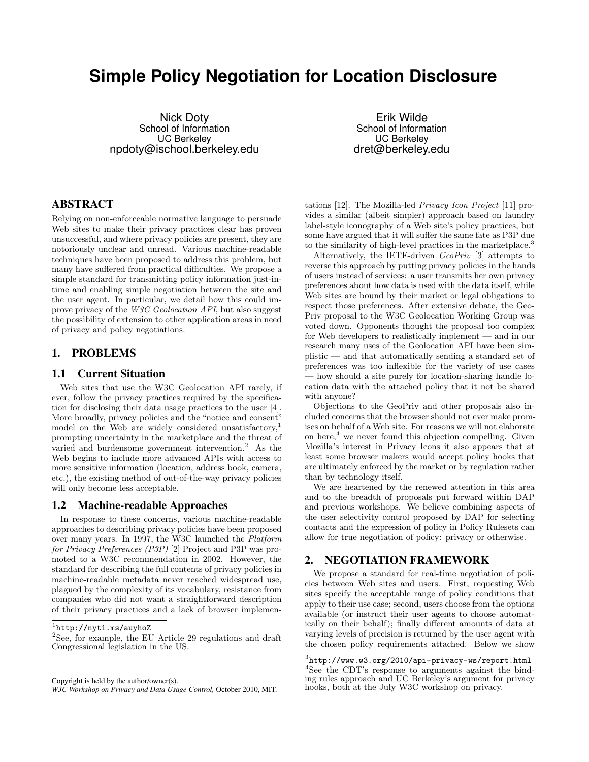# <span id="page-0-0"></span>**Simple Policy Negotiation for Location Disclosure**

Nick Doty School of Information UC Berkeley npdoty@ischool.berkeley.edu

Erik Wilde School of Information UC Berkeley dret@berkeley.edu

# ABSTRACT

Relying on non-enforceable normative language to persuade Web sites to make their privacy practices clear has proven unsuccessful, and where privacy policies are present, they are notoriously unclear and unread. Various machine-readable techniques have been proposed to address this problem, but many have suffered from practical difficulties. We propose a simple standard for transmitting policy information just-intime and enabling simple negotiation between the site and the user agent. In particular, we detail how this could improve privacy of the W3C Geolocation API, but also suggest the possibility of extension to other application areas in need of privacy and policy negotiations.

## 1. PROBLEMS

#### 1.1 Current Situation

Web sites that use the W3C Geolocation API rarely, if ever, follow the privacy practices required by the specification for disclosing their data usage practices to the user [\[4\]](#page-3-0). More broadly, privacy policies and the "notice and consent" model on the Web are widely considered unsatisfactory,<sup>1</sup> prompting uncertainty in the marketplace and the threat of varied and burdensome government intervention.<sup>2</sup> As the Web begins to include more advanced APIs with access to more sensitive information (location, address book, camera, etc.), the existing method of out-of-the-way privacy policies will only become less acceptable.

#### 1.2 Machine-readable Approaches

In response to these concerns, various machine-readable approaches to describing privacy policies have been proposed over many years. In 1997, the W3C launched the Platform for Privacy Preferences (P3P) [\[2\]](#page-3-0) Project and P3P was promoted to a W3C recommendation in 2002. However, the standard for describing the full contents of privacy policies in machine-readable metadata never reached widespread use, plagued by the complexity of its vocabulary, resistance from companies who did not want a straightforward description of their privacy practices and a lack of browser implemen-

Copyright is held by the author/owner(s).

*W3C Workshop on Privacy and Data Usage Control,* October 2010, MIT.

tations [\[12\]](#page-3-0). The Mozilla-led Privacy Icon Project [\[11\]](#page-3-0) provides a similar (albeit simpler) approach based on laundry label-style iconography of a Web site's policy practices, but some have argued that it will suffer the same fate as P3P due to the similarity of high-level practices in the marketplace.<sup>3</sup>

Alternatively, the IETF-driven GeoPriv [\[3\]](#page-3-0) attempts to reverse this approach by putting privacy policies in the hands of users instead of services: a user transmits her own privacy preferences about how data is used with the data itself, while Web sites are bound by their market or legal obligations to respect those preferences. After extensive debate, the Geo-Priv proposal to the W3C Geolocation Working Group was voted down. Opponents thought the proposal too complex for Web developers to realistically implement — and in our research many uses of the Geolocation API have been simplistic — and that automatically sending a standard set of preferences was too inflexible for the variety of use cases how should a site purely for location-sharing handle location data with the attached policy that it not be shared with anyone?

Objections to the GeoPriv and other proposals also included concerns that the browser should not ever make promises on behalf of a Web site. For reasons we will not elaborate on here, $4$  we never found this objection compelling. Given Mozilla's interest in Privacy Icons it also appears that at least some browser makers would accept policy hooks that are ultimately enforced by the market or by regulation rather than by technology itself.

We are heartened by the renewed attention in this area and to the breadth of proposals put forward within DAP and previous workshops. We believe combining aspects of the user selectivity control proposed by DAP for selecting contacts and the expression of policy in Policy Rulesets can allow for true negotiation of policy: privacy or otherwise.

## 2. NEGOTIATION FRAMEWORK

We propose a standard for real-time negotiation of policies between Web sites and users. First, requesting Web sites specify the acceptable range of policy conditions that apply to their use case; second, users choose from the options available (or instruct their user agents to choose automatically on their behalf); finally different amounts of data at varying levels of precision is returned by the user agent with the chosen policy requirements attached. Below we show

<sup>1</sup> <http://nyti.ms/auyhoZ>

<sup>&</sup>lt;sup>2</sup>See, for example, the EU Article 29 regulations and draft Congressional legislation in the US.

 $^3$ http://www.w $3.\texttt{org}/2010/\texttt{api}$ -privacy-ws/report.html <sup>4</sup>See the CDT's response to arguments against the binding rules approach and UC Berkeley's argument for privacy hooks, both at the July W3C workshop on privacy.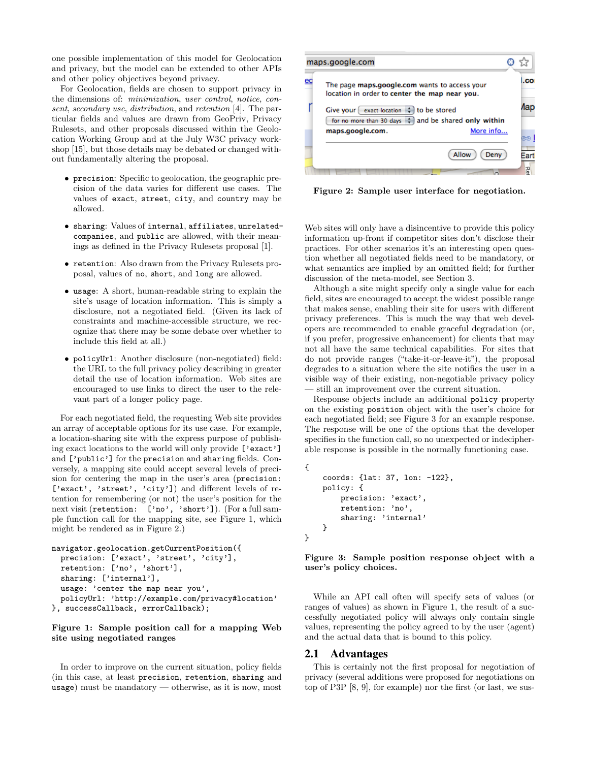one possible implementation of this model for Geolocation and privacy, but the model can be extended to other APIs and other policy objectives beyond privacy.

For Geolocation, fields are chosen to support privacy in the dimensions of: minimization, user control, notice, consent, secondary use, distribution, and retention [\[4\]](#page-3-0). The particular fields and values are drawn from GeoPriv, Privacy Rulesets, and other proposals discussed within the Geolocation Working Group and at the July W3C privacy workshop [\[15\]](#page-3-0), but those details may be debated or changed without fundamentally altering the proposal.

- precision: Specific to geolocation, the geographic precision of the data varies for different use cases. The values of exact, street, city, and country may be allowed.
- sharing: Values of internal, affiliates, unrelatedcompanies, and public are allowed, with their meanings as defined in the Privacy Rulesets proposal [\[1\]](#page-3-0).
- retention: Also drawn from the Privacy Rulesets proposal, values of no, short, and long are allowed.
- usage: A short, human-readable string to explain the site's usage of location information. This is simply a disclosure, not a negotiated field. (Given its lack of constraints and machine-accessible structure, we recognize that there may be some debate over whether to include this field at all.)
- policyUrl: Another disclosure (non-negotiated) field: the URL to the full privacy policy describing in greater detail the use of location information. Web sites are encouraged to use links to direct the user to the relevant part of a longer policy page.

For each negotiated field, the requesting Web site provides an array of acceptable options for its use case. For example, a location-sharing site with the express purpose of publishing exact locations to the world will only provide ['exact'] and ['public'] for the precision and sharing fields. Conversely, a mapping site could accept several levels of precision for centering the map in the user's area (precision: ['exact', 'street', 'city']) and different levels of retention for remembering (or not) the user's position for the next visit (retention: ['no', 'short']). (For a full sample function call for the mapping site, see Figure 1, which might be rendered as in Figure 2.)

```
navigator.geolocation.getCurrentPosition({
 precision: ['exact', 'street', 'city'],
 retention: ['no', 'short'],
 sharing: ['internal'],
 usage: 'center the map near you',
 policyUrl: 'http://example.com/privacy#location'
}, successCallback, errorCallback);
```
Figure 1: Sample position call for a mapping Web site using negotiated ranges

In order to improve on the current situation, policy fields (in this case, at least precision, retention, sharing and usage) must be mandatory — otherwise, as it is now, most



Figure 2: Sample user interface for negotiation.

Web sites will only have a disincentive to provide this policy information up-front if competitor sites don't disclose their practices. For other scenarios it's an interesting open question whether all negotiated fields need to be mandatory, or what semantics are implied by an omitted field; for further discussion of the meta-model, see Section [3.](#page-2-0)

Although a site might specify only a single value for each field, sites are encouraged to accept the widest possible range that makes sense, enabling their site for users with different privacy preferences. This is much the way that web developers are recommended to enable graceful degradation (or, if you prefer, progressive enhancement) for clients that may not all have the same technical capabilities. For sites that do not provide ranges ("take-it-or-leave-it"), the proposal degrades to a situation where the site notifies the user in a visible way of their existing, non-negotiable privacy policy — still an improvement over the current situation.

Response objects include an additional policy property on the existing position object with the user's choice for each negotiated field; see Figure 3 for an example response. The response will be one of the options that the developer specifies in the function call, so no unexpected or indecipherable response is possible in the normally functioning case.

```
{
    coords: {lat: 37, lon: -122},
    policy: {
        precision: 'exact',
        retention: 'no',
        sharing: 'internal'
    }
}
```
Figure 3: Sample position response object with a user's policy choices.

While an API call often will specify sets of values (or ranges of values) as shown in Figure 1, the result of a successfully negotiated policy will always only contain single values, representing the policy agreed to by the user (agent) and the actual data that is bound to this policy.

#### 2.1 Advantages

This is certainly not the first proposal for negotiation of privacy (several additions were proposed for negotiations on top of P3P [\[8,](#page-3-0) [9\]](#page-3-0), for example) nor the first (or last, we sus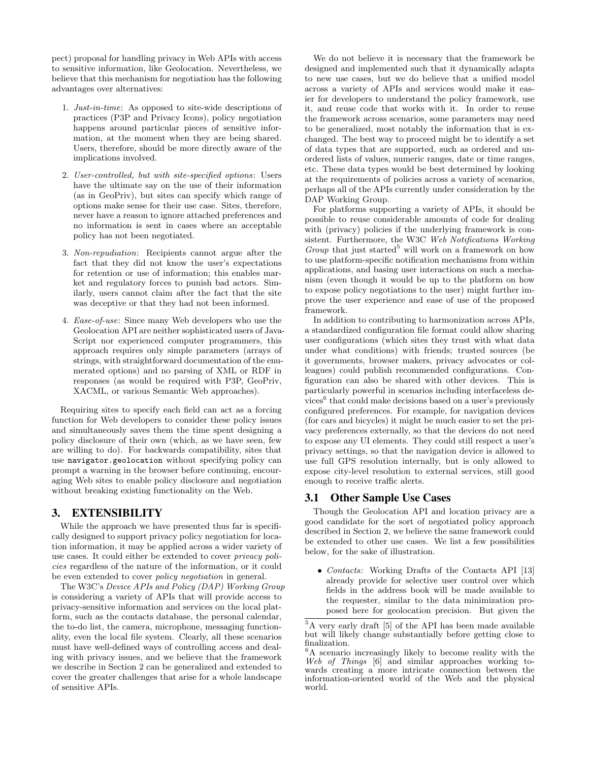<span id="page-2-0"></span>pect) proposal for handling privacy in Web APIs with access to sensitive information, like Geolocation. Nevertheless, we believe that this mechanism for negotiation has the following advantages over alternatives:

- 1. Just-in-time: As opposed to site-wide descriptions of practices (P3P and Privacy Icons), policy negotiation happens around particular pieces of sensitive information, at the moment when they are being shared. Users, therefore, should be more directly aware of the implications involved.
- 2. User-controlled, but with site-specified options: Users have the ultimate say on the use of their information (as in GeoPriv), but sites can specify which range of options make sense for their use case. Sites, therefore, never have a reason to ignore attached preferences and no information is sent in cases where an acceptable policy has not been negotiated.
- 3. Non-repudiation: Recipients cannot argue after the fact that they did not know the user's expectations for retention or use of information; this enables market and regulatory forces to punish bad actors. Similarly, users cannot claim after the fact that the site was deceptive or that they had not been informed.
- 4. Ease-of-use: Since many Web developers who use the Geolocation API are neither sophisticated users of Java-Script nor experienced computer programmers, this approach requires only simple parameters (arrays of strings, with straightforward documentation of the enumerated options) and no parsing of XML or RDF in responses (as would be required with P3P, GeoPriv, XACML, or various Semantic Web approaches).

Requiring sites to specify each field can act as a forcing function for Web developers to consider these policy issues and simultaneously saves them the time spent designing a policy disclosure of their own (which, as we have seen, few are willing to do). For backwards compatibility, sites that use navigator.geolocation without specifying policy can prompt a warning in the browser before continuing, encouraging Web sites to enable policy disclosure and negotiation without breaking existing functionality on the Web.

### 3. EXTENSIBILITY

While the approach we have presented thus far is specifically designed to support privacy policy negotiation for location information, it may be applied across a wider variety of use cases. It could either be extended to cover privacy policies regardless of the nature of the information, or it could be even extended to cover policy negotiation in general.

The W3C's Device APIs and Policy (DAP) Working Group is considering a variety of APIs that will provide access to privacy-sensitive information and services on the local platform, such as the contacts database, the personal calendar, the to-do list, the camera, microphone, messaging functionality, even the local file system. Clearly, all these scenarios must have well-defined ways of controlling access and dealing with privacy issues, and we believe that the framework we describe in Section [2](#page-0-0) can be generalized and extended to cover the greater challenges that arise for a whole landscape of sensitive APIs.

We do not believe it is necessary that the framework be designed and implemented such that it dynamically adapts to new use cases, but we do believe that a unified model across a variety of APIs and services would make it easier for developers to understand the policy framework, use it, and reuse code that works with it. In order to reuse the framework across scenarios, some parameters may need to be generalized, most notably the information that is exchanged. The best way to proceed might be to identify a set of data types that are supported, such as ordered and unordered lists of values, numeric ranges, date or time ranges, etc. These data types would be best determined by looking at the requirements of policies across a variety of scenarios, perhaps all of the APIs currently under consideration by the DAP Working Group.

For platforms supporting a variety of APIs, it should be possible to reuse considerable amounts of code for dealing with (privacy) policies if the underlying framework is consistent. Furthermore, the W3C Web Notifications Working Group that just started<sup>5</sup> will work on a framework on how to use platform-specific notification mechanisms from within applications, and basing user interactions on such a mechanism (even though it would be up to the platform on how to expose policy negotiations to the user) might further improve the user experience and ease of use of the proposed framework.

In addition to contributing to harmonization across APIs, a standardized configuration file format could allow sharing user configurations (which sites they trust with what data under what conditions) with friends; trusted sources (be it governments, browser makers, privacy advocates or colleagues) could publish recommended configurations. Configuration can also be shared with other devices. This is particularly powerful in scenarios including interfaceless devices<sup>6</sup> that could make decisions based on a user's previously configured preferences. For example, for navigation devices (for cars and bicycles) it might be much easier to set the privacy preferences externally, so that the devices do not need to expose any UI elements. They could still respect a user's privacy settings, so that the navigation device is allowed to use full GPS resolution internally, but is only allowed to expose city-level resolution to external services, still good enough to receive traffic alerts.

### 3.1 Other Sample Use Cases

Though the Geolocation API and location privacy are a good candidate for the sort of negotiated policy approach described in Section [2,](#page-0-0) we believe the same framework could be extended to other use cases. We list a few possibilities below, for the sake of illustration.

• Contacts: Working Drafts of the Contacts API [\[13\]](#page-3-0) already provide for selective user control over which fields in the address book will be made available to the requester, similar to the data minimization proposed here for geolocation precision. But given the

<sup>5</sup>A very early draft [\[5\]](#page-3-0) of the API has been made available but will likely change substantially before getting close to finalization.

<sup>6</sup>A scenario increasingly likely to become reality with the Web of Things [\[6\]](#page-3-0) and similar approaches working towards creating a more intricate connection between the information-oriented world of the Web and the physical world.